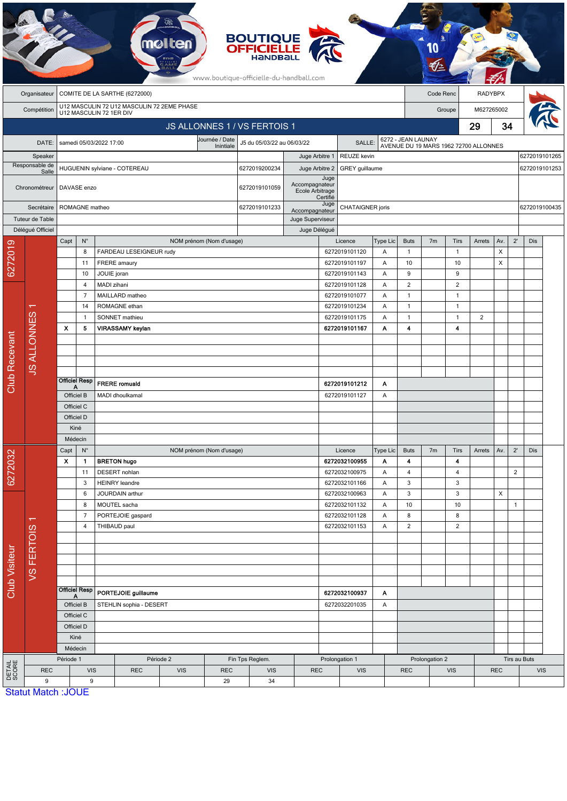|                 |                           |                                                         |                              |                                                | mo                                     |  |                             | <b>BOUTIQUE<br/>OFFICIELLE</b><br>www.boutique-officielle-du-handball.com |                               |                                                       |                    |                                 |                      |                                |                                                             |                                |        |                           |                |               |  |
|-----------------|---------------------------|---------------------------------------------------------|------------------------------|------------------------------------------------|----------------------------------------|--|-----------------------------|---------------------------------------------------------------------------|-------------------------------|-------------------------------------------------------|--------------------|---------------------------------|----------------------|--------------------------------|-------------------------------------------------------------|--------------------------------|--------|---------------------------|----------------|---------------|--|
|                 | Organisateur              |                                                         |                              |                                                | COMITE DE LA SARTHE (6272000)          |  |                             |                                                                           |                               |                                                       |                    |                                 |                      | Code Renc                      |                                                             |                                |        | <b>RADYBPX</b>            |                |               |  |
|                 | Compétition               |                                                         |                              | U12 MASCULIN 72 U12 MASCULIN 72 2EME PHASE     |                                        |  |                             |                                                                           |                               |                                                       |                    |                                 | M627265002<br>Groupe |                                |                                                             |                                |        |                           |                |               |  |
|                 |                           | U12 MASCULIN 72 1ER DIV<br>JS ALLONNES 1 / VS FERTOIS 1 |                              |                                                |                                        |  |                             |                                                                           |                               |                                                       |                    |                                 |                      |                                |                                                             |                                | 29     |                           | 34             |               |  |
|                 | DATE:                     |                                                         |                              | samedi 05/03/2022 17:00                        |                                        |  | Journée / Date<br>Inintiale | J5 du 05/03/22 au 06/03/22                                                |                               |                                                       |                    | <b>SALLE</b>                    |                      |                                | 6272 - JEAN LAUNAY<br>AVENUE DU 19 MARS 1962 72700 ALLONNES |                                |        |                           |                |               |  |
|                 | Speaker                   |                                                         |                              |                                                |                                        |  |                             |                                                                           | REUZE kevin<br>Juge Arbitre 1 |                                                       |                    |                                 |                      |                                |                                                             |                                |        |                           | 6272019101265  |               |  |
|                 | Responsable de<br>Salle   |                                                         | HUGUENIN sylviane - COTEREAU |                                                |                                        |  |                             |                                                                           | 6272019200234                 | Juge Arbitre 2                                        |                    | 6272019101253<br>GREY guillaume |                      |                                |                                                             |                                |        |                           |                |               |  |
|                 | Chronométreur             |                                                         | DAVASE enzo                  |                                                |                                        |  |                             |                                                                           | 6272019101059                 | Juge<br>Accompagnateur<br>Ecole Arbitrage<br>Certifié |                    |                                 |                      |                                |                                                             |                                |        |                           |                |               |  |
|                 | Secrétaire                |                                                         | ROMAGNE matheo               |                                                |                                        |  |                             |                                                                           | 6272019101233                 | Accompagnateur                                        | Juge               | CHATAIGNER joris                |                      |                                |                                                             |                                |        |                           |                | 6272019100435 |  |
|                 | Tuteur de Table           |                                                         |                              |                                                |                                        |  |                             |                                                                           | Juge Superviseur              |                                                       |                    |                                 |                      |                                |                                                             |                                |        |                           |                |               |  |
|                 | Délégué Officiel          | Capt                                                    | $\mathsf{N}^\circ$           |                                                |                                        |  | NOM prénom (Nom d'usage)    |                                                                           |                               | Juge Délégué                                          |                    | Licence                         | Type Lic             | <b>Buts</b>                    | 7 <sub>m</sub>                                              | Tirs                           | Arrets | Av.                       | $2^{\prime}$   | <b>Dis</b>    |  |
| 6272019         |                           |                                                         | 8                            |                                                | FARDEAU LESEIGNEUR rudy                |  |                             |                                                                           |                               |                                                       |                    | 6272019101120                   | Α                    | $\mathbf{1}$                   |                                                             | $\overline{1}$                 |        | $\boldsymbol{\mathsf{X}}$ |                |               |  |
|                 |                           |                                                         | 11                           | FRERE amaury                                   |                                        |  |                             |                                                                           |                               |                                                       |                    | 6272019101197                   | Α                    | 10                             |                                                             | 10                             |        | $\boldsymbol{\mathsf{X}}$ |                |               |  |
|                 |                           |                                                         | 10                           | JOUIE joran                                    |                                        |  |                             |                                                                           |                               |                                                       |                    | 6272019101143                   | A                    | 9                              |                                                             | 9                              |        |                           |                |               |  |
|                 |                           |                                                         | 4<br>$\overline{7}$          | MADI zihani                                    | MAILLARD matheo                        |  |                             |                                                                           |                               |                                                       |                    | 6272019101128<br>6272019101077  | Α<br>Α               | $\overline{c}$<br>$\mathbf{1}$ |                                                             | $\overline{2}$<br>$\mathbf{1}$ |        |                           |                |               |  |
|                 |                           | 14<br>$\overline{1}$                                    |                              |                                                | ROMAGNE ethan                          |  |                             |                                                                           |                               |                                                       |                    | 6272019101234                   | A                    | $\mathbf{1}$                   |                                                             | $\mathbf{1}$                   |        |                           |                |               |  |
|                 |                           |                                                         |                              |                                                | SONNET mathieu                         |  |                             |                                                                           |                               |                                                       | 6272019101175      |                                 | Α                    | $\mathbf{1}$                   |                                                             | $\overline{1}$                 | 2      |                           |                |               |  |
|                 |                           | X<br>5                                                  |                              |                                                | <b>VIRASSAMY</b> keylan                |  |                             |                                                                           |                               |                                                       | 6272019101167<br>Α |                                 |                      | 4                              |                                                             | 4                              |        |                           |                |               |  |
|                 | <b>JS ALLONNES</b>        |                                                         |                              |                                                |                                        |  |                             |                                                                           |                               |                                                       |                    |                                 |                      |                                |                                                             |                                |        |                           |                |               |  |
|                 |                           |                                                         |                              |                                                |                                        |  |                             |                                                                           |                               |                                                       |                    |                                 |                      |                                |                                                             |                                |        |                           |                |               |  |
|                 |                           |                                                         |                              |                                                |                                        |  |                             |                                                                           |                               |                                                       |                    |                                 |                      |                                |                                                             |                                |        |                           |                |               |  |
| Club Recevant   |                           |                                                         | <b>Officiel Resp</b>         |                                                |                                        |  |                             |                                                                           |                               |                                                       |                    |                                 |                      |                                |                                                             |                                |        |                           |                |               |  |
|                 |                           | Α<br>Officiel B                                         |                              | <b>FRERE</b> romuald<br>MADI dhoulkamal        |                                        |  |                             |                                                                           |                               | 6272019101212<br>A<br>6272019101127<br>Α              |                    |                                 |                      |                                |                                                             |                                |        |                           |                |               |  |
|                 |                           |                                                         | Officiel C                   |                                                |                                        |  |                             |                                                                           |                               |                                                       |                    |                                 |                      |                                |                                                             |                                |        |                           |                |               |  |
|                 |                           |                                                         | Officiel D                   |                                                |                                        |  |                             |                                                                           |                               |                                                       |                    |                                 |                      |                                |                                                             |                                |        |                           |                |               |  |
|                 |                           | Kiné                                                    |                              |                                                |                                        |  |                             |                                                                           |                               |                                                       |                    |                                 |                      |                                |                                                             |                                |        |                           |                |               |  |
|                 |                           | Médecin                                                 |                              |                                                |                                        |  |                             |                                                                           |                               |                                                       |                    |                                 |                      |                                |                                                             |                                |        |                           |                |               |  |
| 6272032         |                           | Capt                                                    | $N^{\circ}$                  |                                                |                                        |  | NOM prénom (Nom d'usage)    |                                                                           |                               |                                                       |                    | Licence                         | Type Lic             | <b>Buts</b>                    | 7m                                                          | Tirs                           | Arrets | Av.                       | $2^{\prime}$   | Dis           |  |
|                 |                           | $\mathbf{x}$                                            | $\mathbf{1}$                 | <b>BRETON hugo</b>                             |                                        |  |                             |                                                                           |                               |                                                       |                    | 6272032100955                   | Α                    | 4                              |                                                             | 4                              |        |                           |                |               |  |
|                 |                           |                                                         | 11<br>3                      | DESERT nohlan<br><b>HEINRY</b> leandre         |                                        |  |                             |                                                                           |                               |                                                       |                    | 6272032100975<br>6272032101166  | Α<br>Α               | 4<br>3                         |                                                             | 4<br>3                         |        |                           | $\overline{2}$ |               |  |
|                 |                           |                                                         | 6                            |                                                | JOURDAIN arthur                        |  |                             |                                                                           |                               |                                                       |                    | 6272032100963                   | Α                    | 3                              |                                                             | 3                              |        | X                         |                |               |  |
| Club Visiteur   | ↽<br><b>VSFERTOIS</b>     |                                                         | 8                            | MOUTEL sacha                                   |                                        |  |                             |                                                                           |                               |                                                       |                    | 6272032101132                   | A                    | 10                             |                                                             | 10                             |        |                           | $\mathbf{1}$   |               |  |
|                 |                           | $\overline{7}$                                          |                              | PORTEJOIE gaspard                              |                                        |  |                             |                                                                           |                               |                                                       |                    | 6272032101128                   | Α                    | 8                              |                                                             | 8                              |        |                           |                |               |  |
|                 |                           | 4                                                       |                              | THIBAUD paul                                   |                                        |  |                             |                                                                           |                               |                                                       |                    | 6272032101153                   | A                    | $\sqrt{2}$                     |                                                             | $\overline{2}$                 |        |                           |                |               |  |
|                 |                           |                                                         |                              |                                                |                                        |  |                             |                                                                           |                               |                                                       |                    |                                 |                      |                                |                                                             |                                |        |                           |                |               |  |
|                 |                           |                                                         |                              |                                                |                                        |  |                             |                                                                           |                               |                                                       |                    |                                 |                      |                                |                                                             |                                |        |                           |                |               |  |
|                 |                           |                                                         |                              |                                                |                                        |  |                             |                                                                           |                               |                                                       |                    |                                 |                      |                                |                                                             |                                |        |                           |                |               |  |
|                 |                           |                                                         |                              |                                                |                                        |  |                             |                                                                           |                               |                                                       |                    |                                 |                      |                                |                                                             |                                |        |                           |                |               |  |
|                 |                           | <b>Officiel Resp</b><br>Officiel B                      |                              | PORTEJOIE guillaume<br>STEHLIN sophia - DESERT |                                        |  |                             |                                                                           |                               | 6272032100937<br>A<br>6272032201035<br>A              |                    |                                 |                      |                                |                                                             |                                |        |                           |                |               |  |
|                 |                           |                                                         |                              |                                                |                                        |  |                             |                                                                           |                               |                                                       |                    |                                 |                      |                                |                                                             |                                |        |                           |                |               |  |
|                 |                           |                                                         | Officiel C                   |                                                |                                        |  |                             |                                                                           |                               |                                                       |                    |                                 |                      |                                |                                                             |                                |        |                           |                |               |  |
|                 |                           |                                                         | Officiel D                   |                                                |                                        |  |                             |                                                                           |                               |                                                       |                    |                                 |                      |                                |                                                             |                                |        |                           |                |               |  |
|                 |                           | Kiné<br>Médecin                                         |                              |                                                |                                        |  |                             |                                                                           |                               |                                                       |                    |                                 |                      |                                |                                                             |                                |        |                           |                |               |  |
|                 |                           | Période 1                                               |                              | Période 2                                      |                                        |  |                             | Fin Tps Reglem.                                                           |                               |                                                       | Prolongation 1     |                                 |                      |                                | Prolongation 2                                              |                                |        |                           |                | Tirs au Buts  |  |
| DETAIL<br>SCORE | <b>REC</b>                |                                                         | <b>VIS</b>                   |                                                | <b>REC</b><br><b>VIS</b><br><b>REC</b> |  |                             | <b>VIS</b>                                                                | <b>REC</b>                    |                                                       |                    | <b>VIS</b>                      |                      | <b>REC</b><br><b>VIS</b>       |                                                             |                                |        | <b>REC</b><br><b>VIS</b>  |                |               |  |
|                 | 9                         |                                                         | 9                            | 29<br>34                                       |                                        |  |                             |                                                                           |                               |                                                       |                    |                                 |                      |                                |                                                             |                                |        |                           |                |               |  |
|                 | <b>Statut Match: JOUE</b> |                                                         |                              |                                                |                                        |  |                             |                                                                           |                               |                                                       |                    |                                 |                      |                                |                                                             |                                |        |                           |                |               |  |